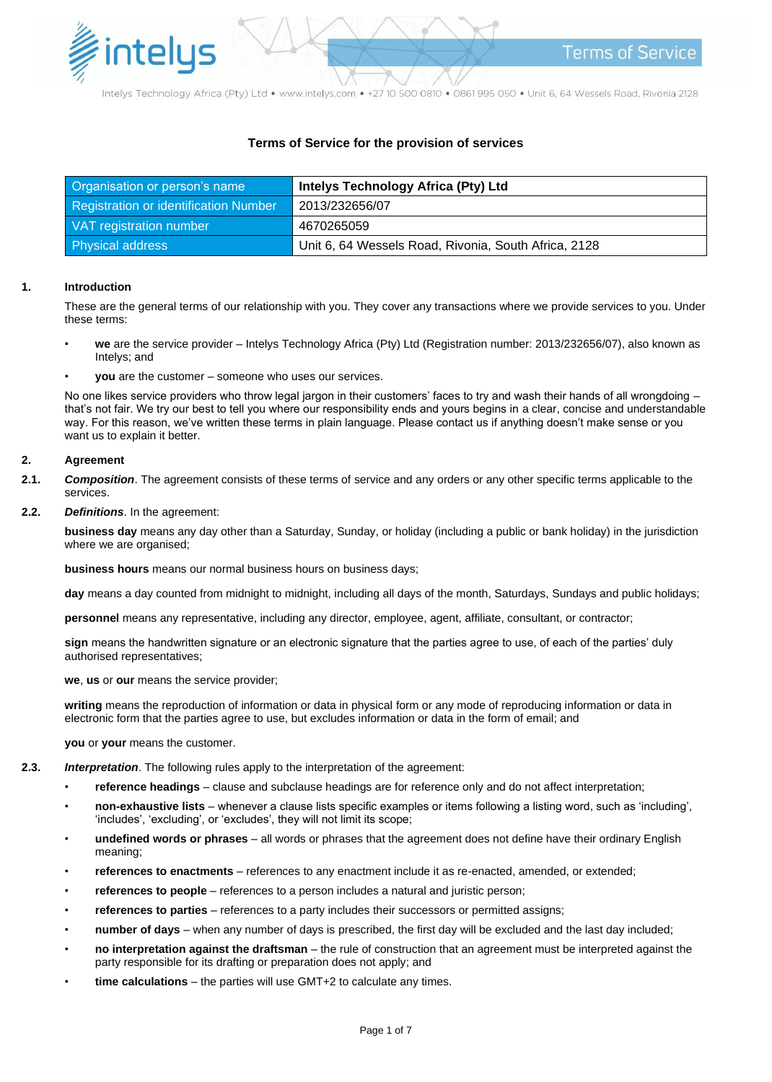

Intelys Technology Africa (Pty) Ltd · www.intelys.com · +27 10 500 0810 · 0861 995 050 · Unit 6, 64 Wessels Road, Rivonia 2128

# **Terms of Service for the provision of services**

| Organisation or person's name         | <b>Intelys Technology Africa (Pty) Ltd</b>           |
|---------------------------------------|------------------------------------------------------|
| Registration or identification Number | 2013/232656/07                                       |
| VAT registration number               | 4670265059                                           |
| <b>Physical address</b>               | Unit 6, 64 Wessels Road, Rivonia, South Africa, 2128 |

### **1. Introduction**

These are the general terms of our relationship with you. They cover any transactions where we provide services to you. Under these terms:

- **we** are the service provider Intelys Technology Africa (Pty) Ltd (Registration number: 2013/232656/07), also known as Intelys; and
- **you** are the customer someone who uses our services.

No one likes service providers who throw legal jargon in their customers' faces to try and wash their hands of all wrongdoing – that's not fair. We try our best to tell you where our responsibility ends and yours begins in a clear, concise and understandable way. For this reason, we've written these terms in plain language. Please contact us if anything doesn't make sense or you want us to explain it better.

### **2. Agreement**

- **2.1.** *Composition*. The agreement consists of these terms of service and any orders or any other specific terms applicable to the services.
- **2.2.** *Definitions*. In the agreement:

**business day** means any day other than a Saturday, Sunday, or holiday (including a public or bank holiday) in the jurisdiction where we are organised;

**business hours** means our normal business hours on business days;

**day** means a day counted from midnight to midnight, including all days of the month, Saturdays, Sundays and public holidays;

**personnel** means any representative, including any director, employee, agent, affiliate, consultant, or contractor;

**sign** means the handwritten signature or an electronic signature that the parties agree to use, of each of the parties' duly authorised representatives;

**we**, **us** or **our** means the service provider;

**writing** means the reproduction of information or data in physical form or any mode of reproducing information or data in electronic form that the parties agree to use, but excludes information or data in the form of email; and

**you** or **your** means the customer.

- **2.3.** *Interpretation*. The following rules apply to the interpretation of the agreement:
	- **reference headings** clause and subclause headings are for reference only and do not affect interpretation;
	- **non-exhaustive lists** whenever a clause lists specific examples or items following a listing word, such as 'including', 'includes', 'excluding', or 'excludes', they will not limit its scope;
	- **undefined words or phrases** all words or phrases that the agreement does not define have their ordinary English meaning;
	- **references to enactments** references to any enactment include it as re-enacted, amended, or extended;
	- **references to people** references to a person includes a natural and juristic person;
	- **references to parties** references to a party includes their successors or permitted assigns;
	- **number of days** when any number of days is prescribed, the first day will be excluded and the last day included;
	- **no interpretation against the draftsman** the rule of construction that an agreement must be interpreted against the party responsible for its drafting or preparation does not apply; and
	- **time calculations** the parties will use GMT+2 to calculate any times.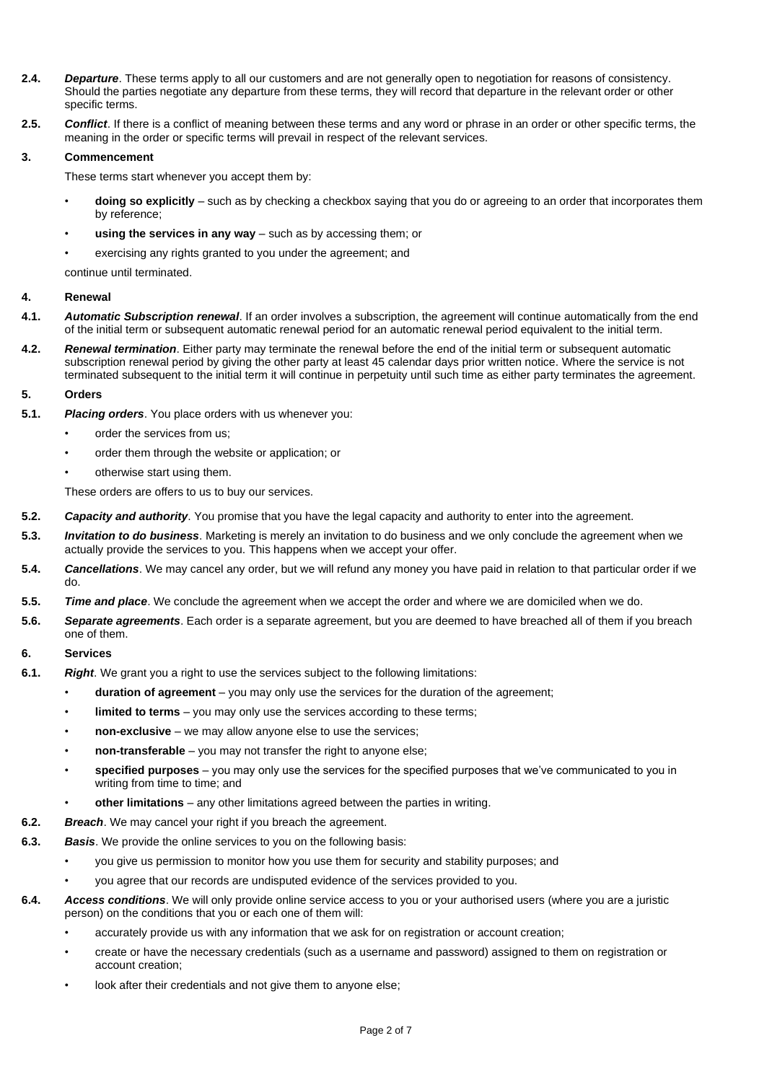- **2.4.** *Departure*. These terms apply to all our customers and are not generally open to negotiation for reasons of consistency. Should the parties negotiate any departure from these terms, they will record that departure in the relevant order or other specific terms.
- **2.5.** *Conflict*. If there is a conflict of meaning between these terms and any word or phrase in an order or other specific terms, the meaning in the order or specific terms will prevail in respect of the relevant services.

# **3. Commencement**

These terms start whenever you accept them by:

- **doing so explicitly** such as by checking a checkbox saying that you do or agreeing to an order that incorporates them by reference;
- **using the services in any way** such as by accessing them; or
- exercising any rights granted to you under the agreement; and

continue until terminated.

## **4. Renewal**

- **4.1.** *Automatic Subscription renewal*. If an order involves a subscription, the agreement will continue automatically from the end of the initial term or subsequent automatic renewal period for an automatic renewal period equivalent to the initial term.
- **4.2.** *Renewal termination*. Either party may terminate the renewal before the end of the initial term or subsequent automatic subscription renewal period by giving the other party at least 45 calendar days prior written notice. Where the service is not terminated subsequent to the initial term it will continue in perpetuity until such time as either party terminates the agreement.

## **5. Orders**

- **5.1.** *Placing orders*. You place orders with us whenever you:
	- order the services from us:
	- order them through the website or application; or
	- otherwise start using them.

These orders are offers to us to buy our services.

- **5.2.** *Capacity and authority*. You promise that you have the legal capacity and authority to enter into the agreement.
- **5.3.** *Invitation to do business*. Marketing is merely an invitation to do business and we only conclude the agreement when we actually provide the services to you. This happens when we accept your offer.
- **5.4.** *Cancellations*. We may cancel any order, but we will refund any money you have paid in relation to that particular order if we do.
- **5.5.** *Time and place*. We conclude the agreement when we accept the order and where we are domiciled when we do.
- **5.6.** *Separate agreements*. Each order is a separate agreement, but you are deemed to have breached all of them if you breach one of them.

# **6. Services**

- **6.1.** *Right*. We grant you a right to use the services subject to the following limitations:
	- **duration of agreement** you may only use the services for the duration of the agreement;
	- **limited to terms** you may only use the services according to these terms;
	- **non-exclusive** we may allow anyone else to use the services;
	- **non-transferable** you may not transfer the right to anyone else;
	- **specified purposes** you may only use the services for the specified purposes that we've communicated to you in writing from time to time; and
	- **other limitations** any other limitations agreed between the parties in writing.
- **6.2.** *Breach*. We may cancel your right if you breach the agreement.
- **6.3.** *Basis*. We provide the online services to you on the following basis:
	- you give us permission to monitor how you use them for security and stability purposes; and
	- you agree that our records are undisputed evidence of the services provided to you.
- **6.4.** *Access conditions*. We will only provide online service access to you or your authorised users (where you are a juristic person) on the conditions that you or each one of them will:
	- accurately provide us with any information that we ask for on registration or account creation;
	- create or have the necessary credentials (such as a username and password) assigned to them on registration or account creation;
	- look after their credentials and not give them to anyone else;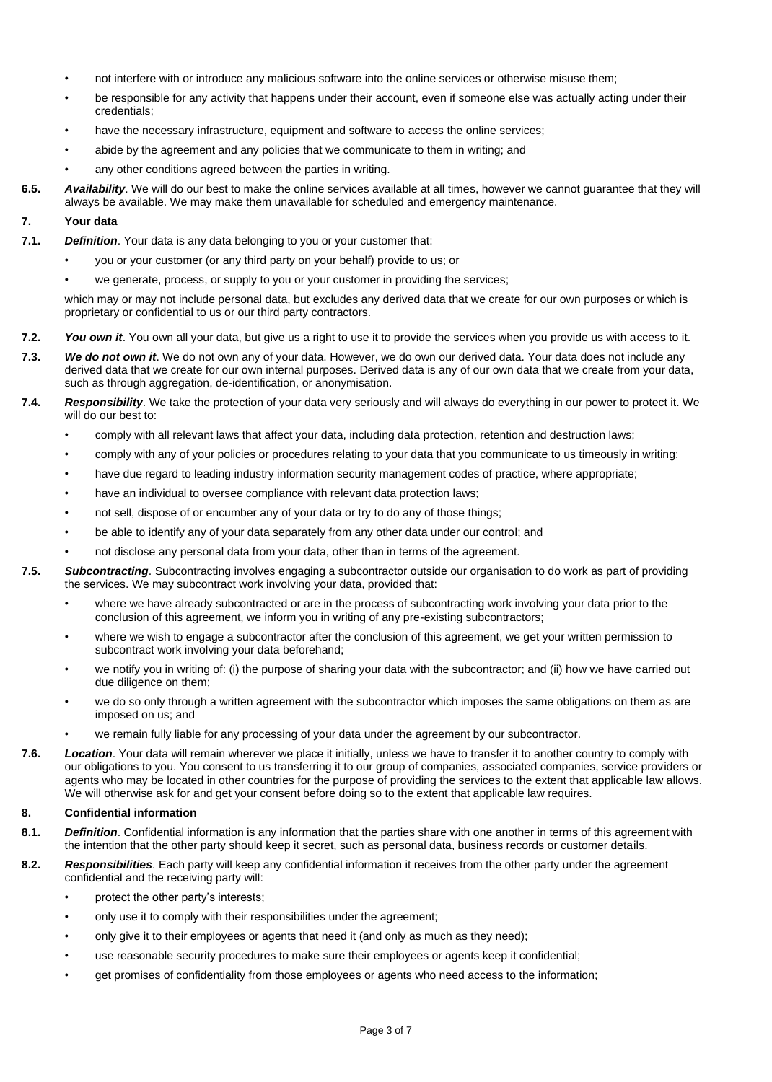- not interfere with or introduce any malicious software into the online services or otherwise misuse them;
- be responsible for any activity that happens under their account, even if someone else was actually acting under their credentials;
- have the necessary infrastructure, equipment and software to access the online services;
- abide by the agreement and any policies that we communicate to them in writing; and
- any other conditions agreed between the parties in writing.
- **6.5.** *Availability*. We will do our best to make the online services available at all times, however we cannot guarantee that they will always be available. We may make them unavailable for scheduled and emergency maintenance.

# **7. Your data**

- **7.1.** *Definition*. Your data is any data belonging to you or your customer that:
	- you or your customer (or any third party on your behalf) provide to us; or
		- we generate, process, or supply to you or your customer in providing the services;

which may or may not include personal data, but excludes any derived data that we create for our own purposes or which is proprietary or confidential to us or our third party contractors.

- **7.2.** *You own it*. You own all your data, but give us a right to use it to provide the services when you provide us with access to it.
- **7.3.** *We do not own it*. We do not own any of your data. However, we do own our derived data. Your data does not include any derived data that we create for our own internal purposes. Derived data is any of our own data that we create from your data, such as through aggregation, de-identification, or anonymisation.
- **7.4.** *Responsibility*. We take the protection of your data very seriously and will always do everything in our power to protect it. We will do our best to:
	- comply with all relevant laws that affect your data, including data protection, retention and destruction laws;
	- comply with any of your policies or procedures relating to your data that you communicate to us timeously in writing;
	- have due regard to leading industry information security management codes of practice, where appropriate;
	- have an individual to oversee compliance with relevant data protection laws;
	- not sell, dispose of or encumber any of your data or try to do any of those things;
	- be able to identify any of your data separately from any other data under our control; and
	- not disclose any personal data from your data, other than in terms of the agreement.
- **7.5.** *Subcontracting*. Subcontracting involves engaging a subcontractor outside our organisation to do work as part of providing the services. We may subcontract work involving your data, provided that:
	- where we have already subcontracted or are in the process of subcontracting work involving your data prior to the conclusion of this agreement, we inform you in writing of any pre-existing subcontractors;
	- where we wish to engage a subcontractor after the conclusion of this agreement, we get your written permission to subcontract work involving your data beforehand;
	- we notify you in writing of: (i) the purpose of sharing your data with the subcontractor; and (ii) how we have carried out due diligence on them;
	- we do so only through a written agreement with the subcontractor which imposes the same obligations on them as are imposed on us; and
	- we remain fully liable for any processing of your data under the agreement by our subcontractor.
- **7.6.** *Location*. Your data will remain wherever we place it initially, unless we have to transfer it to another country to comply with our obligations to you. You consent to us transferring it to our group of companies, associated companies, service providers or agents who may be located in other countries for the purpose of providing the services to the extent that applicable law allows. We will otherwise ask for and get your consent before doing so to the extent that applicable law requires.

## **8. Confidential information**

- **8.1.** *Definition*. Confidential information is any information that the parties share with one another in terms of this agreement with the intention that the other party should keep it secret, such as personal data, business records or customer details.
- **8.2.** *Responsibilities*. Each party will keep any confidential information it receives from the other party under the agreement confidential and the receiving party will:
	- protect the other party's interests;
	- only use it to comply with their responsibilities under the agreement;
	- only give it to their employees or agents that need it (and only as much as they need);
	- use reasonable security procedures to make sure their employees or agents keep it confidential;
	- get promises of confidentiality from those employees or agents who need access to the information;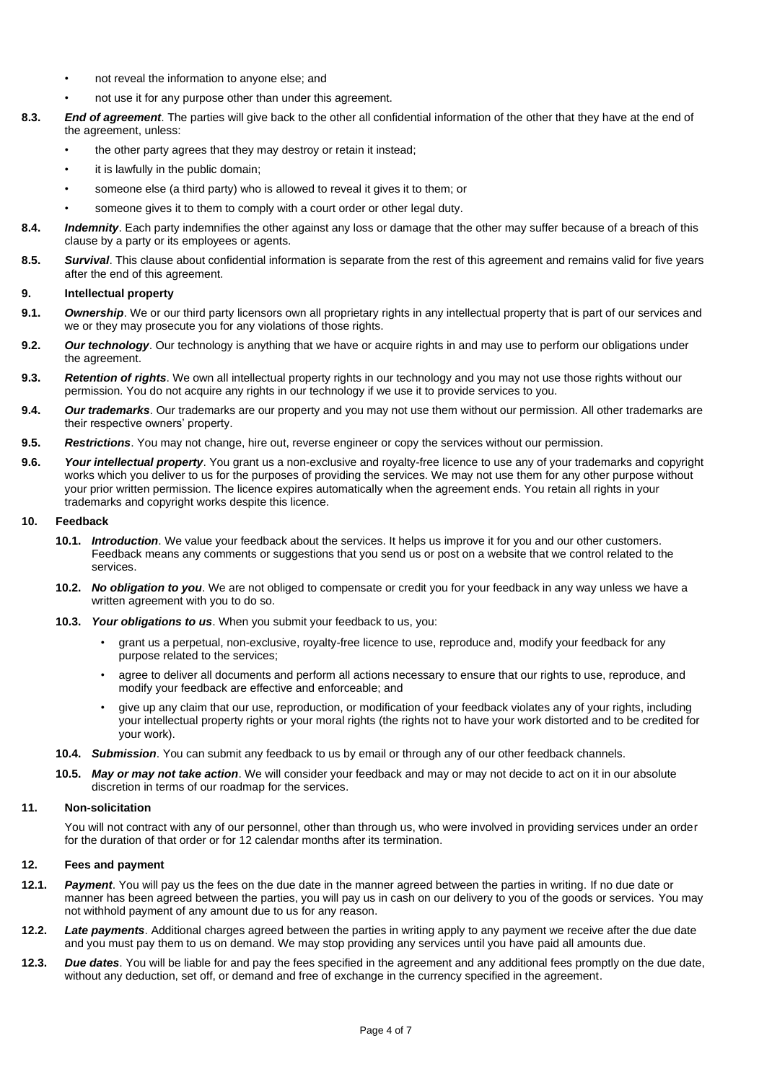- not reveal the information to anyone else; and
- not use it for any purpose other than under this agreement.
- **8.3.** *End of agreement*. The parties will give back to the other all confidential information of the other that they have at the end of the agreement, unless:
	- the other party agrees that they may destroy or retain it instead;
	- it is lawfully in the public domain;
	- someone else (a third party) who is allowed to reveal it gives it to them; or
	- someone gives it to them to comply with a court order or other legal duty.
- **8.4.** *Indemnity*. Each party indemnifies the other against any loss or damage that the other may suffer because of a breach of this clause by a party or its employees or agents.
- **8.5.** *Survival*. This clause about confidential information is separate from the rest of this agreement and remains valid for five years after the end of this agreement.

### **9. Intellectual property**

- **9.1.** *Ownership*. We or our third party licensors own all proprietary rights in any intellectual property that is part of our services and we or they may prosecute you for any violations of those rights.
- **9.2.** *Our technology*. Our technology is anything that we have or acquire rights in and may use to perform our obligations under the agreement.
- **9.3.** *Retention of rights*. We own all intellectual property rights in our technology and you may not use those rights without our permission. You do not acquire any rights in our technology if we use it to provide services to you.
- **9.4.** *Our trademarks*. Our trademarks are our property and you may not use them without our permission. All other trademarks are their respective owners' property.
- **9.5.** *Restrictions*. You may not change, hire out, reverse engineer or copy the services without our permission.
- **9.6.** *Your intellectual property*. You grant us a non-exclusive and royalty-free licence to use any of your trademarks and copyright works which you deliver to us for the purposes of providing the services. We may not use them for any other purpose without your prior written permission. The licence expires automatically when the agreement ends. You retain all rights in your trademarks and copyright works despite this licence.

#### **10. Feedback**

- **10.1.** *Introduction*. We value your feedback about the services. It helps us improve it for you and our other customers. Feedback means any comments or suggestions that you send us or post on a website that we control related to the services.
- **10.2.** *No obligation to you*. We are not obliged to compensate or credit you for your feedback in any way unless we have a written agreement with you to do so.
- **10.3.** *Your obligations to us*. When you submit your feedback to us, you:
	- grant us a perpetual, non-exclusive, royalty-free licence to use, reproduce and, modify your feedback for any purpose related to the services;
	- agree to deliver all documents and perform all actions necessary to ensure that our rights to use, reproduce, and modify your feedback are effective and enforceable; and
	- give up any claim that our use, reproduction, or modification of your feedback violates any of your rights, including your intellectual property rights or your moral rights (the rights not to have your work distorted and to be credited for your work).
- **10.4.** *Submission*. You can submit any feedback to us by email or through any of our other feedback channels.
- **10.5.** *May or may not take action*. We will consider your feedback and may or may not decide to act on it in our absolute discretion in terms of our roadmap for the services.

### **11. Non-solicitation**

You will not contract with any of our personnel, other than through us, who were involved in providing services under an order for the duration of that order or for 12 calendar months after its termination.

### **12. Fees and payment**

- **12.1.** *Payment*. You will pay us the fees on the due date in the manner agreed between the parties in writing. If no due date or manner has been agreed between the parties, you will pay us in cash on our delivery to you of the goods or services. You may not withhold payment of any amount due to us for any reason.
- **12.2.** *Late payments*. Additional charges agreed between the parties in writing apply to any payment we receive after the due date and you must pay them to us on demand. We may stop providing any services until you have paid all amounts due.
- **12.3.** *Due dates*. You will be liable for and pay the fees specified in the agreement and any additional fees promptly on the due date, without any deduction, set off, or demand and free of exchange in the currency specified in the agreement.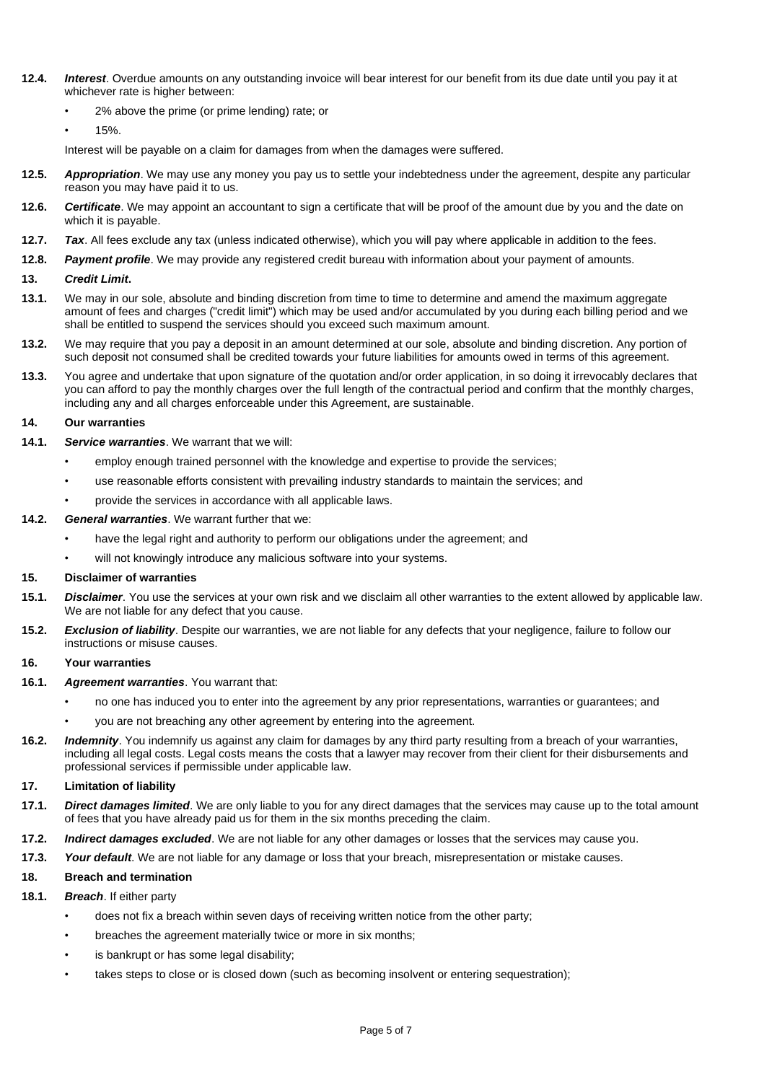- **12.4.** *Interest*. Overdue amounts on any outstanding invoice will bear interest for our benefit from its due date until you pay it at whichever rate is higher between:
	- 2% above the prime (or prime lending) rate; or
	- 15%.

Interest will be payable on a claim for damages from when the damages were suffered.

- **12.5.** *Appropriation*. We may use any money you pay us to settle your indebtedness under the agreement, despite any particular reason you may have paid it to us.
- **12.6.** *Certificate*. We may appoint an accountant to sign a certificate that will be proof of the amount due by you and the date on which it is payable.
- **12.7.** *Tax*. All fees exclude any tax (unless indicated otherwise), which you will pay where applicable in addition to the fees.
- **12.8.** *Payment profile*. We may provide any registered credit bureau with information about your payment of amounts.

### **13.** *Credit Limit***.**

- **13.1.** We may in our sole, absolute and binding discretion from time to time to determine and amend the maximum aggregate amount of fees and charges ("credit limit") which may be used and/or accumulated by you during each billing period and we shall be entitled to suspend the services should you exceed such maximum amount.
- **13.2.** We may require that you pay a deposit in an amount determined at our sole, absolute and binding discretion. Any portion of such deposit not consumed shall be credited towards your future liabilities for amounts owed in terms of this agreement.
- **13.3.** You agree and undertake that upon signature of the quotation and/or order application, in so doing it irrevocably declares that you can afford to pay the monthly charges over the full length of the contractual period and confirm that the monthly charges, including any and all charges enforceable under this Agreement, are sustainable.

### **14. Our warranties**

- **14.1.** *Service warranties*. We warrant that we will:
	- employ enough trained personnel with the knowledge and expertise to provide the services;
	- use reasonable efforts consistent with prevailing industry standards to maintain the services; and
	- provide the services in accordance with all applicable laws.

### **14.2.** *General warranties*. We warrant further that we:

- have the legal right and authority to perform our obligations under the agreement; and
- will not knowingly introduce any malicious software into your systems.

#### **15. Disclaimer of warranties**

- **15.1.** *Disclaimer*. You use the services at your own risk and we disclaim all other warranties to the extent allowed by applicable law. We are not liable for any defect that you cause.
- **15.2.** *Exclusion of liability*. Despite our warranties, we are not liable for any defects that your negligence, failure to follow our instructions or misuse causes.

### **16. Your warranties**

- **16.1.** *Agreement warranties*. You warrant that:
	- no one has induced you to enter into the agreement by any prior representations, warranties or guarantees; and
	- you are not breaching any other agreement by entering into the agreement.
- **16.2.** *Indemnity*. You indemnify us against any claim for damages by any third party resulting from a breach of your warranties, including all legal costs. Legal costs means the costs that a lawyer may recover from their client for their disbursements and professional services if permissible under applicable law.

### **17. Limitation of liability**

- **17.1.** *Direct damages limited*. We are only liable to you for any direct damages that the services may cause up to the total amount of fees that you have already paid us for them in the six months preceding the claim.
- **17.2.** *Indirect damages excluded*. We are not liable for any other damages or losses that the services may cause you.
- **17.3.** *Your default*. We are not liable for any damage or loss that your breach, misrepresentation or mistake causes.

### **18. Breach and termination**

### **18.1.** *Breach*. If either party

- does not fix a breach within seven days of receiving written notice from the other party;
- breaches the agreement materially twice or more in six months;
- is bankrupt or has some legal disability;
- takes steps to close or is closed down (such as becoming insolvent or entering sequestration);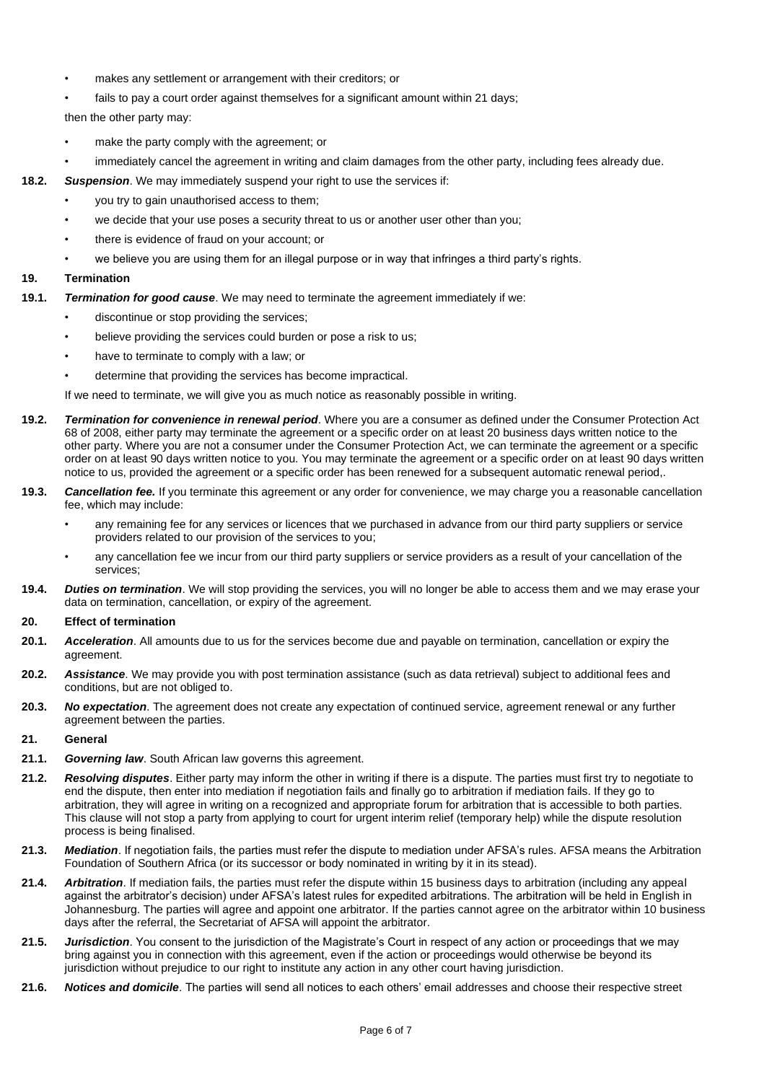- makes any settlement or arrangement with their creditors; or
- fails to pay a court order against themselves for a significant amount within 21 days;

then the other party may:

- make the party comply with the agreement; or
- immediately cancel the agreement in writing and claim damages from the other party, including fees already due.
- **18.2.** *Suspension*. We may immediately suspend your right to use the services if:
	- you try to gain unauthorised access to them;
	- we decide that your use poses a security threat to us or another user other than you;
	- there is evidence of fraud on your account; or
	- we believe you are using them for an illegal purpose or in way that infringes a third party's rights.

## **19. Termination**

- **19.1.** *Termination for good cause*. We may need to terminate the agreement immediately if we:
	- discontinue or stop providing the services;
	- believe providing the services could burden or pose a risk to us:
	- have to terminate to comply with a law; or
	- determine that providing the services has become impractical.

If we need to terminate, we will give you as much notice as reasonably possible in writing.

- **19.2.** *Termination for convenience in renewal period*. Where you are a consumer as defined under the Consumer Protection Act 68 of 2008, either party may terminate the agreement or a specific order on at least 20 business days written notice to the other party. Where you are not a consumer under the Consumer Protection Act, we can terminate the agreement or a specific order on at least 90 days written notice to you. You may terminate the agreement or a specific order on at least 90 days written notice to us, provided the agreement or a specific order has been renewed for a subsequent automatic renewal period,.
- **19.3.** *Cancellation fee.* If you terminate this agreement or any order for convenience, we may charge you a reasonable cancellation fee, which may include:
	- any remaining fee for any services or licences that we purchased in advance from our third party suppliers or service providers related to our provision of the services to you;
	- any cancellation fee we incur from our third party suppliers or service providers as a result of your cancellation of the services;
- **19.4.** *Duties on termination*. We will stop providing the services, you will no longer be able to access them and we may erase your data on termination, cancellation, or expiry of the agreement.

## **20. Effect of termination**

- **20.1.** *Acceleration*. All amounts due to us for the services become due and payable on termination, cancellation or expiry the agreement.
- **20.2.** *Assistance*. We may provide you with post termination assistance (such as data retrieval) subject to additional fees and conditions, but are not obliged to.
- **20.3.** *No expectation*. The agreement does not create any expectation of continued service, agreement renewal or any further agreement between the parties.

# **21. General**

- **21.1.** *Governing law*. South African law governs this agreement.
- **21.2.** *Resolving disputes*. Either party may inform the other in writing if there is a dispute. The parties must first try to negotiate to end the dispute, then enter into mediation if negotiation fails and finally go to arbitration if mediation fails. If they go to arbitration, they will agree in writing on a recognized and appropriate forum for arbitration that is accessible to both parties. This clause will not stop a party from applying to court for urgent interim relief (temporary help) while the dispute resolution process is being finalised.
- **21.3.** *Mediation*. If negotiation fails, the parties must refer the dispute to mediation under AFSA's rules. AFSA means the Arbitration Foundation of Southern Africa (or its successor or body nominated in writing by it in its stead).
- **21.4.** *Arbitration*. If mediation fails, the parties must refer the dispute within 15 business days to arbitration (including any appeal against the arbitrator's decision) under AFSA's latest rules for expedited arbitrations. The arbitration will be held in English in Johannesburg. The parties will agree and appoint one arbitrator. If the parties cannot agree on the arbitrator within 10 business days after the referral, the Secretariat of AFSA will appoint the arbitrator.
- **21.5.** *Jurisdiction*. You consent to the jurisdiction of the Magistrate's Court in respect of any action or proceedings that we may bring against you in connection with this agreement, even if the action or proceedings would otherwise be beyond its jurisdiction without prejudice to our right to institute any action in any other court having jurisdiction.
- **21.6.** *Notices and domicile*. The parties will send all notices to each others' email addresses and choose their respective street